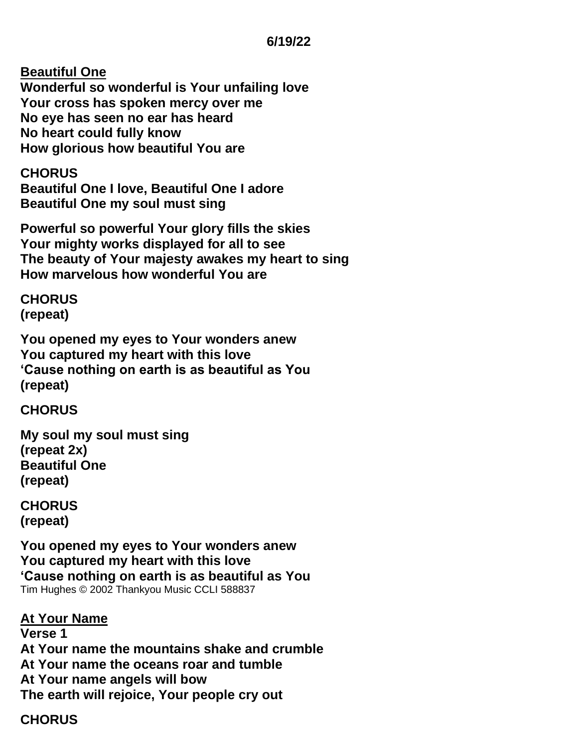**Beautiful One Wonderful so wonderful is Your unfailing love Your cross has spoken mercy over me No eye has seen no ear has heard No heart could fully know How glorious how beautiful You are**

#### **CHORUS**

**Beautiful One I love, Beautiful One I adore Beautiful One my soul must sing**

**Powerful so powerful Your glory fills the skies Your mighty works displayed for all to see The beauty of Your majesty awakes my heart to sing How marvelous how wonderful You are**

**CHORUS (repeat)**

**You opened my eyes to Your wonders anew You captured my heart with this love 'Cause nothing on earth is as beautiful as You (repeat)**

### **CHORUS**

**My soul my soul must sing (repeat 2x) Beautiful One (repeat)**

**CHORUS (repeat)**

**You opened my eyes to Your wonders anew You captured my heart with this love 'Cause nothing on earth is as beautiful as You** Tim Hughes © 2002 Thankyou Music CCLI 588837

# **At Your Name**

**Verse 1 At Your name the mountains shake and crumble At Your name the oceans roar and tumble At Your name angels will bow The earth will rejoice, Your people cry out**

#### **CHORUS**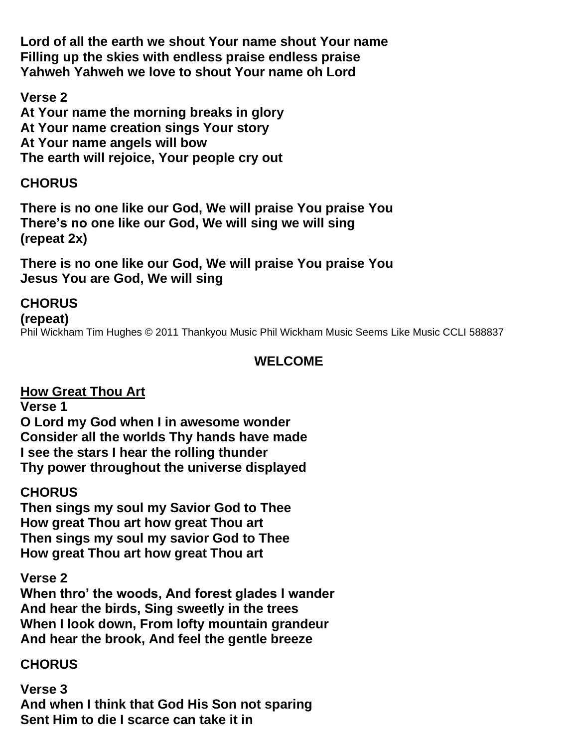**Lord of all the earth we shout Your name shout Your name Filling up the skies with endless praise endless praise Yahweh Yahweh we love to shout Your name oh Lord**

**Verse 2**

**At Your name the morning breaks in glory At Your name creation sings Your story At Your name angels will bow The earth will rejoice, Your people cry out**

## **CHORUS**

**There is no one like our God, We will praise You praise You There's no one like our God, We will sing we will sing (repeat 2x)**

**There is no one like our God, We will praise You praise You Jesus You are God, We will sing**

## **CHORUS**

**(repeat)** Phil Wickham Tim Hughes © 2011 Thankyou Music Phil Wickham Music Seems Like Music CCLI 588837

### **WELCOME**

### **How Great Thou Art**

**Verse 1 O Lord my God when I in awesome wonder Consider all the worlds Thy hands have made I see the stars I hear the rolling thunder Thy power throughout the universe displayed**

### **CHORUS**

**Then sings my soul my Savior God to Thee How great Thou art how great Thou art Then sings my soul my savior God to Thee How great Thou art how great Thou art**

#### **Verse 2**

**When thro' the woods, And forest glades I wander And hear the birds, Sing sweetly in the trees When I look down, From lofty mountain grandeur And hear the brook, And feel the gentle breeze**

#### **CHORUS**

**Verse 3 And when I think that God His Son not sparing Sent Him to die I scarce can take it in**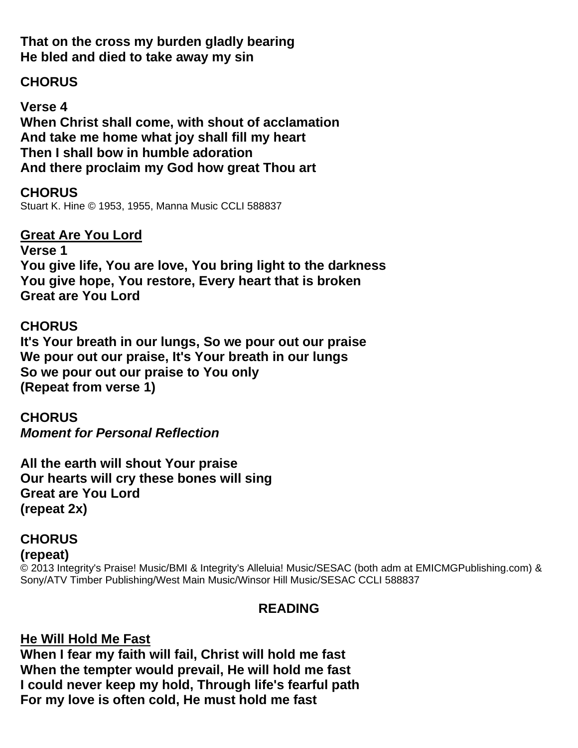**That on the cross my burden gladly bearing He bled and died to take away my sin**

### **CHORUS**

### **Verse 4**

**When Christ shall come, with shout of acclamation And take me home what joy shall fill my heart Then I shall bow in humble adoration And there proclaim my God how great Thou art**

## **CHORUS**

Stuart K. Hine © 1953, 1955, Manna Music CCLI 588837

### **Great Are You Lord**

**Verse 1 You give life, You are love, You bring light to the darkness You give hope, You restore, Every heart that is broken Great are You Lord** 

#### **CHORUS**

**It's Your breath in our lungs, So we pour out our praise We pour out our praise, It's Your breath in our lungs So we pour out our praise to You only (Repeat from verse 1)**

**CHORUS** *Moment for Personal Reflection*

**All the earth will shout Your praise Our hearts will cry these bones will sing Great are You Lord (repeat 2x)**

#### **CHORUS (repeat)**

© 2013 Integrity's Praise! Music/BMI & Integrity's Alleluia! Music/SESAC (both adm at EMICMGPublishing.com) & Sony/ATV Timber Publishing/West Main Music/Winsor Hill Music/SESAC CCLI 588837

### **READING**

#### **He Will Hold Me Fast**

**When I fear my faith will fail, Christ will hold me fast When the tempter would prevail, He will hold me fast I could never keep my hold, Through life's fearful path For my love is often cold, He must hold me fast**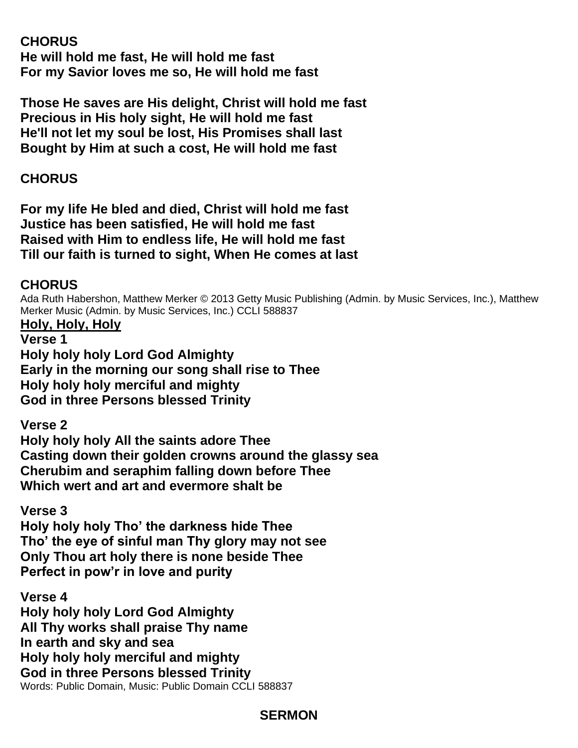### **CHORUS**

**He will hold me fast, He will hold me fast For my Savior loves me so, He will hold me fast**

**Those He saves are His delight, Christ will hold me fast Precious in His holy sight, He will hold me fast He'll not let my soul be lost, His Promises shall last Bought by Him at such a cost, He will hold me fast**

### **CHORUS**

**For my life He bled and died, Christ will hold me fast Justice has been satisfied, He will hold me fast Raised with Him to endless life, He will hold me fast Till our faith is turned to sight, When He comes at last**

### **CHORUS**

Ada Ruth Habershon, Matthew Merker © 2013 Getty Music Publishing (Admin. by Music Services, Inc.), Matthew Merker Music (Admin. by Music Services, Inc.) CCLI 588837

# **Holy, Holy, Holy**

**Verse 1 Holy holy holy Lord God Almighty Early in the morning our song shall rise to Thee Holy holy holy merciful and mighty God in three Persons blessed Trinity**

**Verse 2**

**Holy holy holy All the saints adore Thee Casting down their golden crowns around the glassy sea Cherubim and seraphim falling down before Thee Which wert and art and evermore shalt be**

#### **Verse 3**

**Holy holy holy Tho' the darkness hide Thee Tho' the eye of sinful man Thy glory may not see Only Thou art holy there is none beside Thee Perfect in pow'r in love and purity**

#### **Verse 4**

**Holy holy holy Lord God Almighty All Thy works shall praise Thy name In earth and sky and sea Holy holy holy merciful and mighty God in three Persons blessed Trinity** Words: Public Domain, Music: Public Domain CCLI 588837

#### **SERMON**